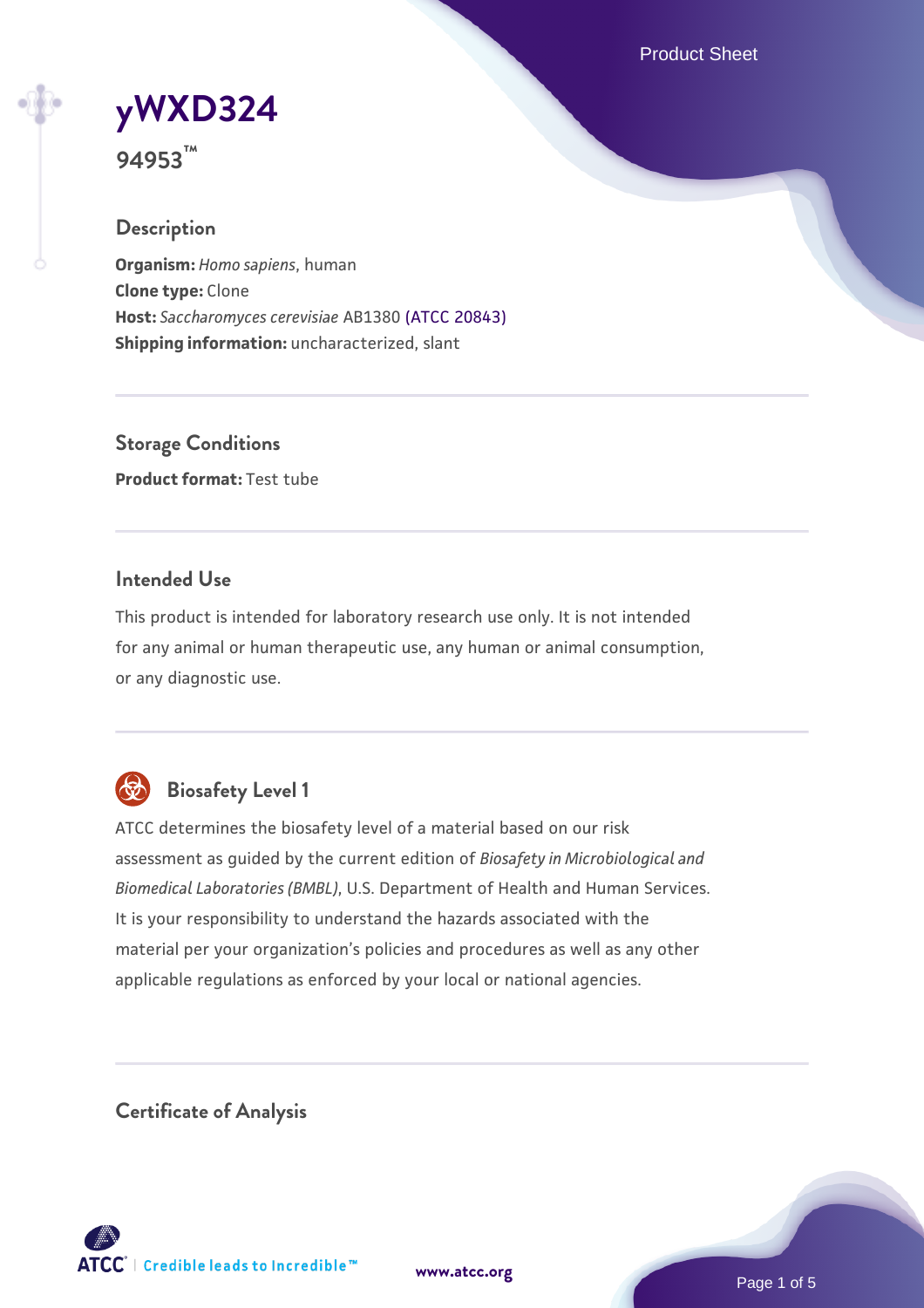Product Sheet

**[yWXD324](https://www.atcc.org/products/94953)**

**94953™**

## **Description**

**Organism:** *Homo sapiens*, human **Clone type:** Clone **Host:** *Saccharomyces cerevisiae* AB1380 [\(ATCC 20843\)](https://www.atcc.org/products/20843) **Shipping information:** uncharacterized, slant

**Storage Conditions Product format:** Test tube

### **Intended Use**

This product is intended for laboratory research use only. It is not intended for any animal or human therapeutic use, any human or animal consumption, or any diagnostic use.



## **Biosafety Level 1**

ATCC determines the biosafety level of a material based on our risk assessment as guided by the current edition of *Biosafety in Microbiological and Biomedical Laboratories (BMBL)*, U.S. Department of Health and Human Services. It is your responsibility to understand the hazards associated with the material per your organization's policies and procedures as well as any other applicable regulations as enforced by your local or national agencies.

**Certificate of Analysis**

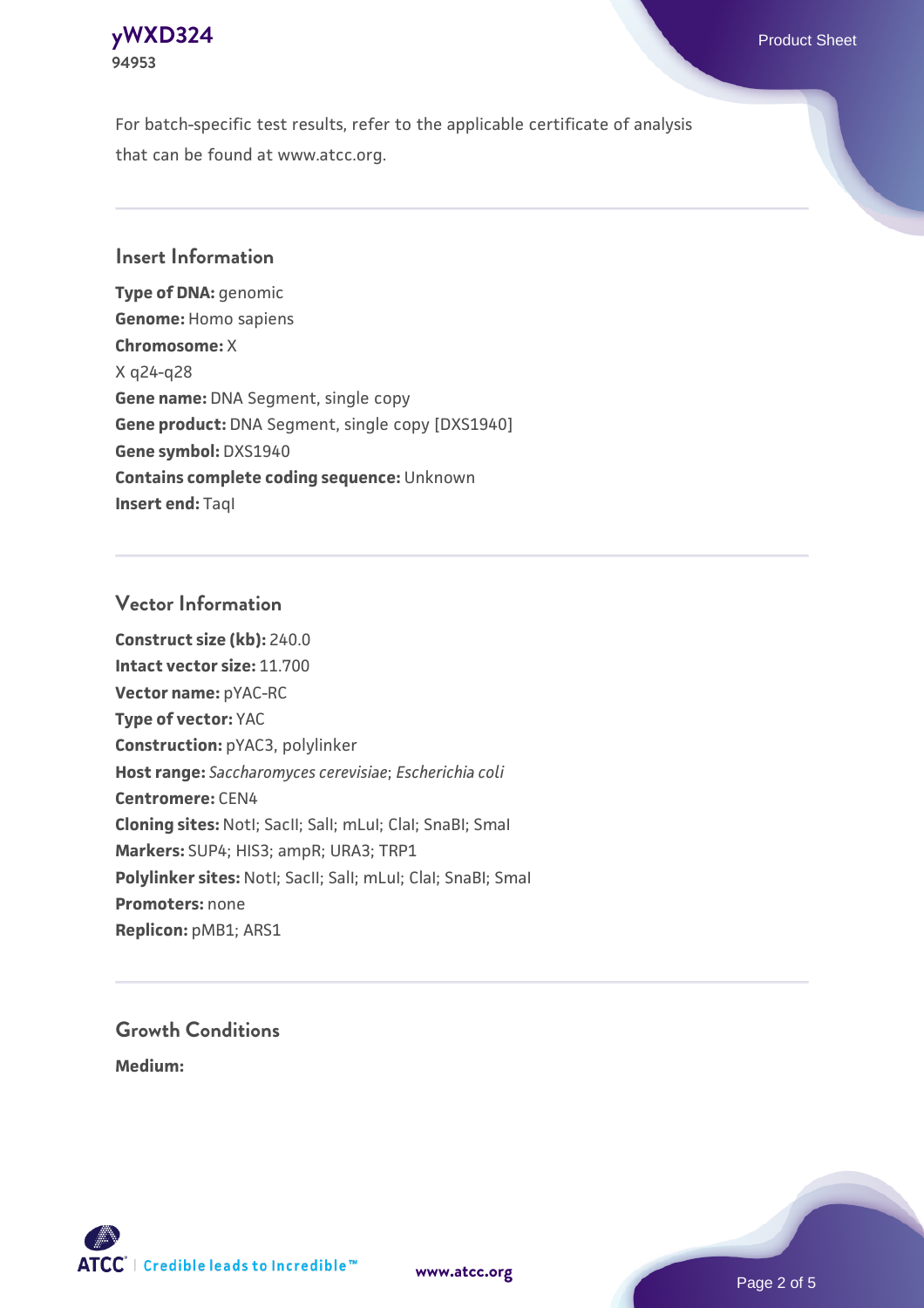

For batch-specific test results, refer to the applicable certificate of analysis that can be found at www.atcc.org.

### **Insert Information**

**Type of DNA:** genomic **Genome:** Homo sapiens **Chromosome:** X X q24-q28 **Gene name:** DNA Segment, single copy **Gene product:** DNA Segment, single copy [DXS1940] **Gene symbol:** DXS1940 **Contains complete coding sequence:** Unknown **Insert end: Tagl** 

#### **Vector Information**

**Construct size (kb):** 240.0 **Intact vector size:** 11.700 **Vector name:** pYAC-RC **Type of vector:** YAC **Construction:** pYAC3, polylinker **Host range:** *Saccharomyces cerevisiae*; *Escherichia coli* **Centromere:** CEN4 **Cloning sites:** NotI; SacII; SalI; mLuI; ClaI; SnaBI; SmaI **Markers:** SUP4; HIS3; ampR; URA3; TRP1 Polylinker sites: Notl; SacII; SalI; mLuI; ClaI; SnaBI; SmaI **Promoters:** none **Replicon:** pMB1; ARS1

# **Growth Conditions**

**Medium:** 



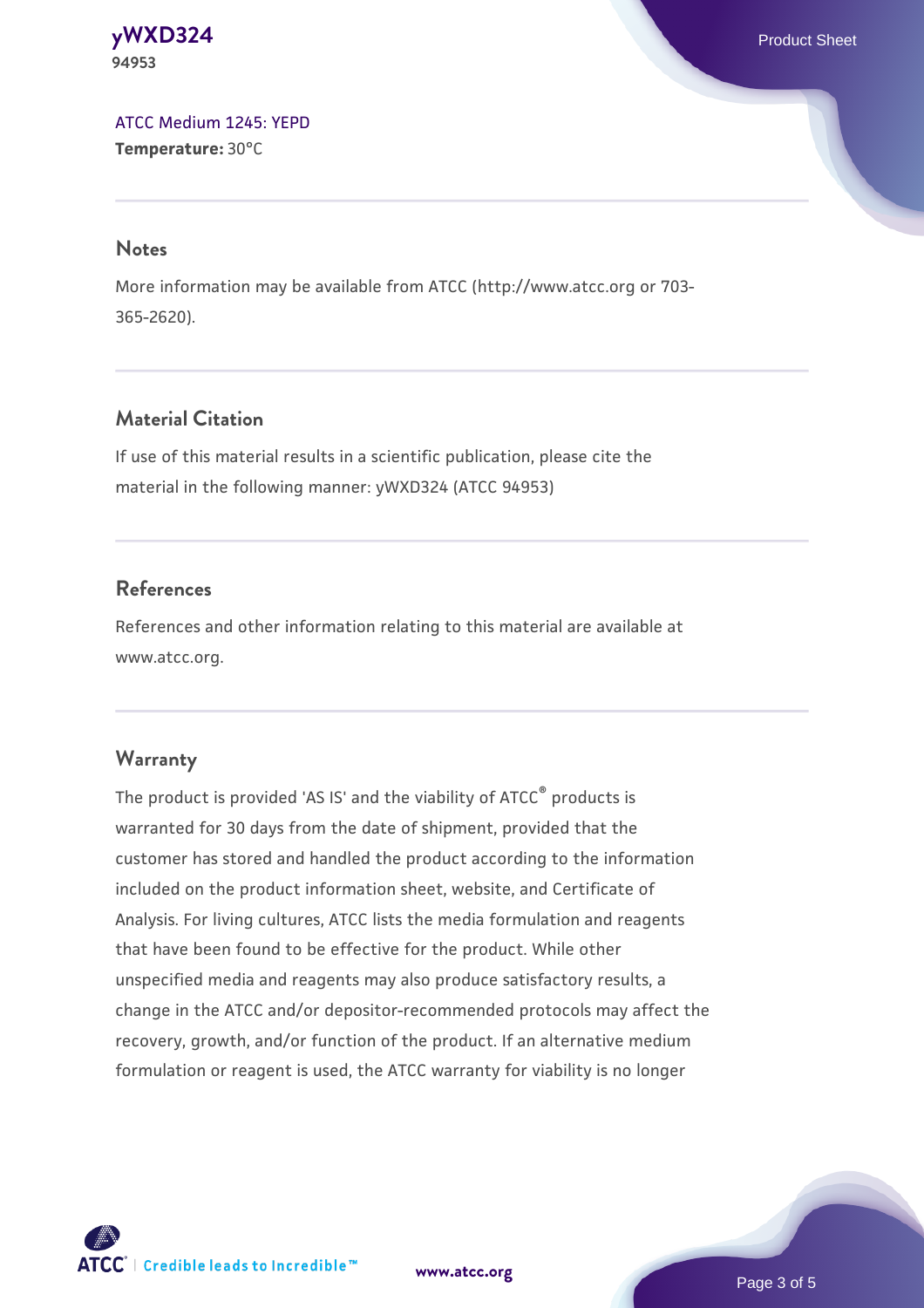**[yWXD324](https://www.atcc.org/products/94953)** Product Sheet **94953**

[ATCC Medium 1245: YEPD](https://www.atcc.org/-/media/product-assets/documents/microbial-media-formulations/1/2/4/5/atcc-medium-1245.pdf?rev=705ca55d1b6f490a808a965d5c072196) **Temperature:** 30°C

#### **Notes**

More information may be available from ATCC (http://www.atcc.org or 703- 365-2620).

## **Material Citation**

If use of this material results in a scientific publication, please cite the material in the following manner: yWXD324 (ATCC 94953)

### **References**

References and other information relating to this material are available at www.atcc.org.

#### **Warranty**

The product is provided 'AS IS' and the viability of ATCC® products is warranted for 30 days from the date of shipment, provided that the customer has stored and handled the product according to the information included on the product information sheet, website, and Certificate of Analysis. For living cultures, ATCC lists the media formulation and reagents that have been found to be effective for the product. While other unspecified media and reagents may also produce satisfactory results, a change in the ATCC and/or depositor-recommended protocols may affect the recovery, growth, and/or function of the product. If an alternative medium formulation or reagent is used, the ATCC warranty for viability is no longer

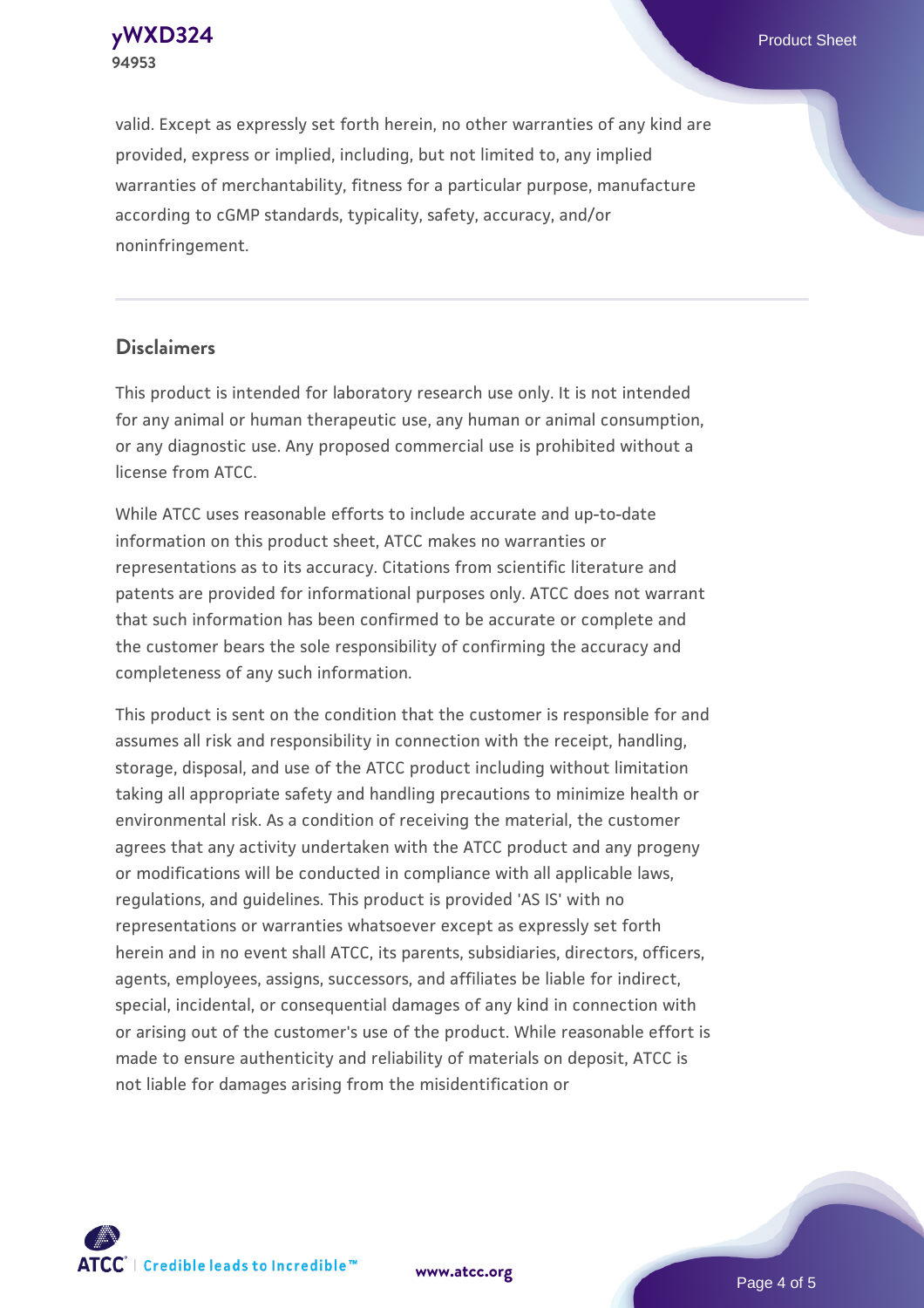**[yWXD324](https://www.atcc.org/products/94953)** Product Sheet **94953**

valid. Except as expressly set forth herein, no other warranties of any kind are provided, express or implied, including, but not limited to, any implied warranties of merchantability, fitness for a particular purpose, manufacture according to cGMP standards, typicality, safety, accuracy, and/or noninfringement.

#### **Disclaimers**

This product is intended for laboratory research use only. It is not intended for any animal or human therapeutic use, any human or animal consumption, or any diagnostic use. Any proposed commercial use is prohibited without a license from ATCC.

While ATCC uses reasonable efforts to include accurate and up-to-date information on this product sheet, ATCC makes no warranties or representations as to its accuracy. Citations from scientific literature and patents are provided for informational purposes only. ATCC does not warrant that such information has been confirmed to be accurate or complete and the customer bears the sole responsibility of confirming the accuracy and completeness of any such information.

This product is sent on the condition that the customer is responsible for and assumes all risk and responsibility in connection with the receipt, handling, storage, disposal, and use of the ATCC product including without limitation taking all appropriate safety and handling precautions to minimize health or environmental risk. As a condition of receiving the material, the customer agrees that any activity undertaken with the ATCC product and any progeny or modifications will be conducted in compliance with all applicable laws, regulations, and guidelines. This product is provided 'AS IS' with no representations or warranties whatsoever except as expressly set forth herein and in no event shall ATCC, its parents, subsidiaries, directors, officers, agents, employees, assigns, successors, and affiliates be liable for indirect, special, incidental, or consequential damages of any kind in connection with or arising out of the customer's use of the product. While reasonable effort is made to ensure authenticity and reliability of materials on deposit, ATCC is not liable for damages arising from the misidentification or



**[www.atcc.org](http://www.atcc.org)**

Page 4 of 5